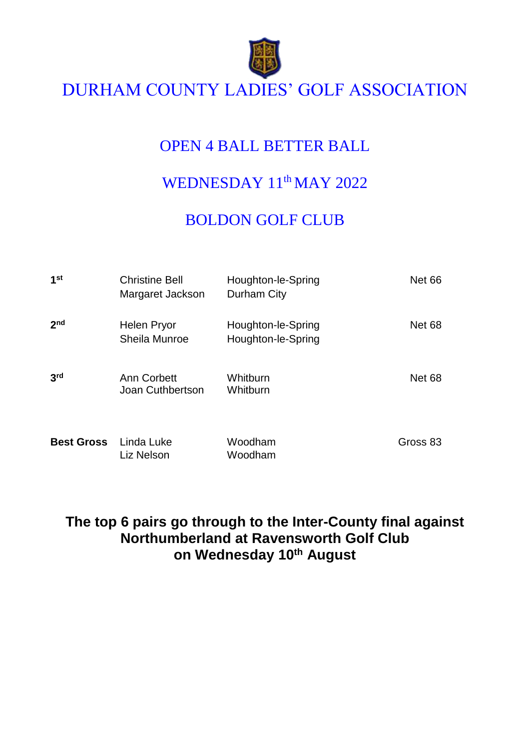

# DURHAM COUNTY LADIES' GOLF ASSOCIATION

# OPEN 4 BALL BETTER BALL

# WEDNESDAY 11<sup>th</sup> MAY 2022

# BOLDON GOLF CLUB

| 1 <sup>st</sup>   | <b>Christine Bell</b><br>Margaret Jackson | Houghton-le-Spring<br>Durham City        | <b>Net 66</b> |
|-------------------|-------------------------------------------|------------------------------------------|---------------|
| 2 <sub>nd</sub>   | Helen Pryor<br>Sheila Munroe              | Houghton-le-Spring<br>Houghton-le-Spring | <b>Net 68</b> |
| 3 <sup>rd</sup>   | Ann Corbett<br>Joan Cuthbertson           | Whitburn<br>Whitburn                     | <b>Net 68</b> |
| <b>Best Gross</b> | Linda Luke<br>Liz Nelson                  | Woodham<br>Woodham                       | Gross 83      |

### **The top 6 pairs go through to the Inter-County final against Northumberland at Ravensworth Golf Club on Wednesday 10 th August**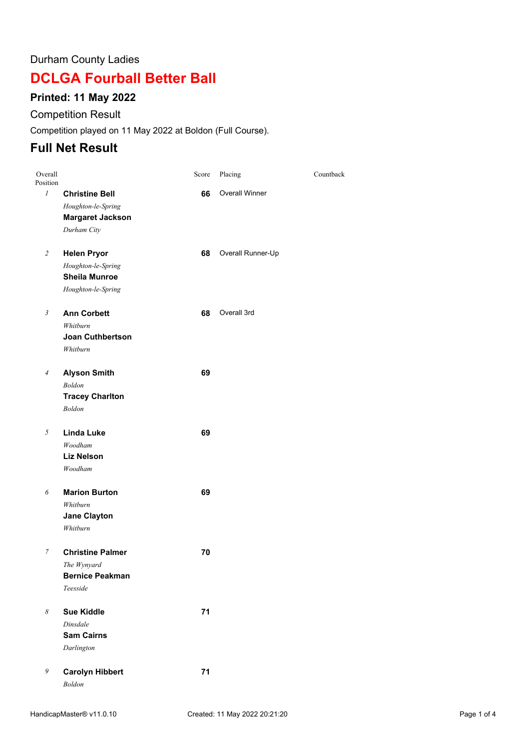#### Durham County Ladies

## **DCLGA Fourball Better Ball**

#### **Printed: 11 May 2022**

#### Competition Result

Competition played on 11 May 2022 at Boldon (Full Course).

### **Full Net Result**

| Overall<br>Position   |                         | Score | Placing               | Countback |
|-----------------------|-------------------------|-------|-----------------------|-----------|
| $\mathcal{I}$         | <b>Christine Bell</b>   | 66    | <b>Overall Winner</b> |           |
|                       | Houghton-le-Spring      |       |                       |           |
|                       | <b>Margaret Jackson</b> |       |                       |           |
|                       | Durham City             |       |                       |           |
| $\overline{c}$        | <b>Helen Pryor</b>      | 68    | Overall Runner-Up     |           |
|                       | Houghton-le-Spring      |       |                       |           |
|                       | <b>Sheila Munroe</b>    |       |                       |           |
|                       | Houghton-le-Spring      |       |                       |           |
| $\boldsymbol{\beta}$  | <b>Ann Corbett</b>      | 68    | Overall 3rd           |           |
|                       | Whitburn                |       |                       |           |
|                       | <b>Joan Cuthbertson</b> |       |                       |           |
|                       | Whitburn                |       |                       |           |
| $\overline{4}$        | <b>Alyson Smith</b>     | 69    |                       |           |
|                       | <b>Boldon</b>           |       |                       |           |
|                       | <b>Tracey Charlton</b>  |       |                       |           |
|                       | <b>Boldon</b>           |       |                       |           |
| 5                     | <b>Linda Luke</b>       | 69    |                       |           |
|                       | Woodham                 |       |                       |           |
|                       | <b>Liz Nelson</b>       |       |                       |           |
|                       | Woodham                 |       |                       |           |
| 6                     | <b>Marion Burton</b>    | 69    |                       |           |
|                       | Whitburn                |       |                       |           |
|                       | <b>Jane Clayton</b>     |       |                       |           |
|                       | Whitburn                |       |                       |           |
| 7                     | <b>Christine Palmer</b> | 70    |                       |           |
|                       | The Wynyard             |       |                       |           |
|                       | <b>Bernice Peakman</b>  |       |                       |           |
|                       | Teesside                |       |                       |           |
| $\boldsymbol{\delta}$ | <b>Sue Kiddle</b>       | 71    |                       |           |
|                       | Dinsdale                |       |                       |           |
|                       | <b>Sam Cairns</b>       |       |                       |           |
|                       | Darlington              |       |                       |           |
| 9                     | <b>Carolyn Hibbert</b>  | 71    |                       |           |
|                       | <b>Boldon</b>           |       |                       |           |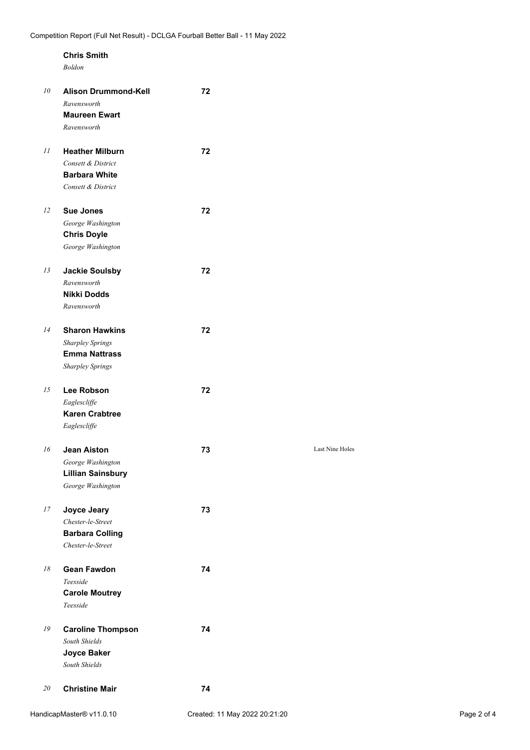### **Chris Smith**

*Boldon*

| 10 | <b>Alison Drummond-Kell</b><br>Ravensworth<br><b>Maureen Ewart</b><br>Ravensworth                   | 72 |                 |
|----|-----------------------------------------------------------------------------------------------------|----|-----------------|
| 11 | <b>Heather Milburn</b><br>Consett & District<br><b>Barbara White</b><br>Consett & District          | 72 |                 |
| 12 | <b>Sue Jones</b><br>George Washington<br><b>Chris Doyle</b><br>George Washington                    | 72 |                 |
| 13 | <b>Jackie Soulsby</b><br>Ravensworth<br><b>Nikki Dodds</b><br>Ravensworth                           | 72 |                 |
| 14 | <b>Sharon Hawkins</b><br><b>Sharpley Springs</b><br><b>Emma Nattrass</b><br><b>Sharpley Springs</b> | 72 |                 |
| 15 | Lee Robson<br>Eaglescliffe<br><b>Karen Crabtree</b><br>Eaglescliffe                                 | 72 |                 |
| 16 | <b>Jean Aiston</b><br>George Washington<br><b>Lillian Sainsbury</b><br>George Washington            | 73 | Last Nine Holes |
| 17 | Joyce Jeary<br>Chester-le-Street<br><b>Barbara Colling</b><br>Chester-le-Street                     | 73 |                 |
| 18 | <b>Gean Fawdon</b><br>Teesside<br><b>Carole Moutrey</b><br>Teesside                                 | 74 |                 |
| 19 | <b>Caroline Thompson</b><br>South Shields<br>Joyce Baker<br>South Shields                           | 74 |                 |
| 20 | <b>Christine Mair</b>                                                                               | 74 |                 |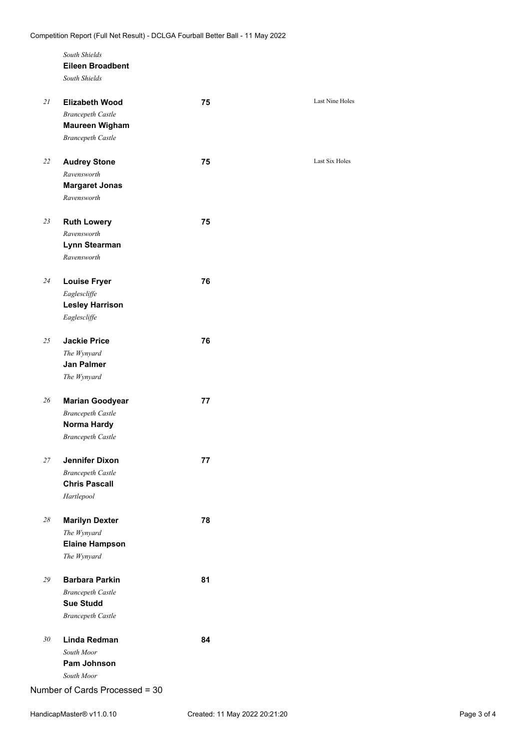|    | South Shields<br><b>Eileen Broadbent</b><br>South Shields                  |    |                 |
|----|----------------------------------------------------------------------------|----|-----------------|
| 21 | <b>Elizabeth Wood</b><br><b>Brancepeth Castle</b><br><b>Maureen Wigham</b> | 75 | Last Nine Holes |
|    | <b>Brancepeth Castle</b>                                                   |    |                 |
| 22 | <b>Audrey Stone</b>                                                        | 75 | Last Six Holes  |
|    | Ravensworth                                                                |    |                 |
|    | <b>Margaret Jonas</b><br>Ravensworth                                       |    |                 |
| 23 | <b>Ruth Lowery</b>                                                         | 75 |                 |
|    | Ravensworth                                                                |    |                 |
|    | Lynn Stearman<br>Ravensworth                                               |    |                 |
| 24 | <b>Louise Fryer</b>                                                        | 76 |                 |
|    | Eaglescliffe                                                               |    |                 |
|    | <b>Lesley Harrison</b><br>Eaglescliffe                                     |    |                 |
|    |                                                                            |    |                 |
| 25 | <b>Jackie Price</b>                                                        | 76 |                 |
|    | The Wynyard                                                                |    |                 |
|    | <b>Jan Palmer</b><br>The Wynyard                                           |    |                 |
|    |                                                                            |    |                 |
| 26 | <b>Marian Goodyear</b>                                                     | 77 |                 |
|    | <b>Brancepeth Castle</b><br>Norma Hardy                                    |    |                 |
|    | <b>Brancepeth Castle</b>                                                   |    |                 |
| 27 | <b>Jennifer Dixon</b>                                                      | 77 |                 |
|    | <b>Brancepeth Castle</b><br><b>Chris Pascall</b>                           |    |                 |
|    | Hartlepool                                                                 |    |                 |
| 28 | <b>Marilyn Dexter</b>                                                      | 78 |                 |
|    | The Wynyard                                                                |    |                 |
|    | <b>Elaine Hampson</b><br>The Wynyard                                       |    |                 |
|    |                                                                            |    |                 |
| 29 | <b>Barbara Parkin</b>                                                      | 81 |                 |
|    | <b>Brancepeth Castle</b>                                                   |    |                 |
|    | <b>Sue Studd</b>                                                           |    |                 |
|    | <b>Brancepeth Castle</b>                                                   |    |                 |
| 30 | Linda Redman                                                               | 84 |                 |
|    | South Moor                                                                 |    |                 |
|    | Pam Johnson                                                                |    |                 |

*South Moor*

Number of Cards Processed = 30